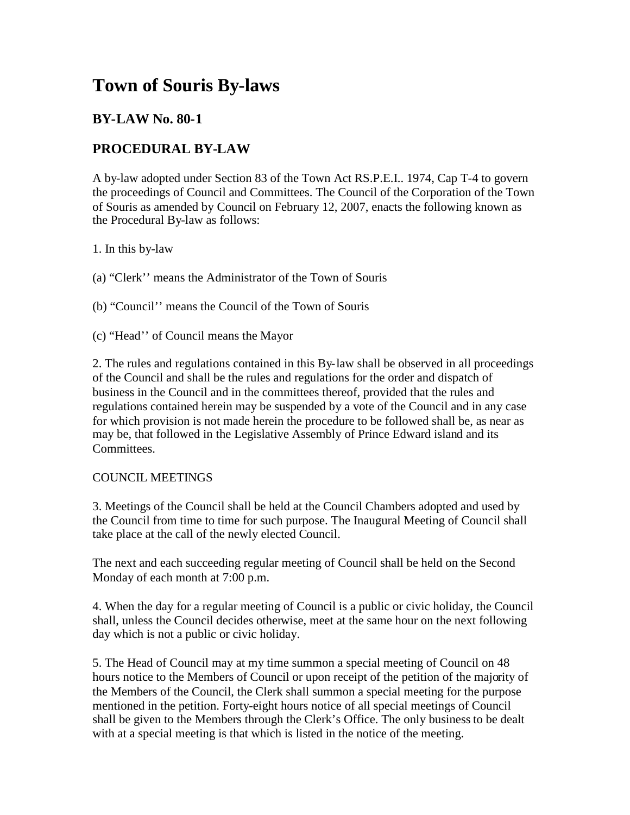# **Town of Souris By-laws**

# **BY-LAW No. 80-1**

# **PROCEDURAL BY-LAW**

A by-law adopted under Section 83 of the Town Act RS.P.E.I.. 1974, Cap T-4 to govern the proceedings of Council and Committees. The Council of the Corporation of the Town of Souris as amended by Council on February 12, 2007, enacts the following known as the Procedural By-law as follows:

1. In this by-law

(a) "Clerk'' means the Administrator of the Town of Souris

(b) "Council'' means the Council of the Town of Souris

(c) "Head'' of Council means the Mayor

2. The rules and regulations contained in this By-law shall be observed in all proceedings of the Council and shall be the rules and regulations for the order and dispatch of business in the Council and in the committees thereof, provided that the rules and regulations contained herein may be suspended by a vote of the Council and in any case for which provision is not made herein the procedure to be followed shall be, as near as may be, that followed in the Legislative Assembly of Prince Edward island and its Committees.

## COUNCIL MEETINGS

3. Meetings of the Council shall be held at the Council Chambers adopted and used by the Council from time to time for such purpose. The Inaugural Meeting of Council shall take place at the call of the newly elected Council.

The next and each succeeding regular meeting of Council shall be held on the Second Monday of each month at 7:00 p.m.

4. When the day for a regular meeting of Council is a public or civic holiday, the Council shall, unless the Council decides otherwise, meet at the same hour on the next following day which is not a public or civic holiday.

5. The Head of Council may at my time summon a special meeting of Council on 48 hours notice to the Members of Council or upon receipt of the petition of the majority of the Members of the Council, the Clerk shall summon a special meeting for the purpose mentioned in the petition. Forty-eight hours notice of all special meetings of Council shall be given to the Members through the Clerk's Office. The only business to be dealt with at a special meeting is that which is listed in the notice of the meeting.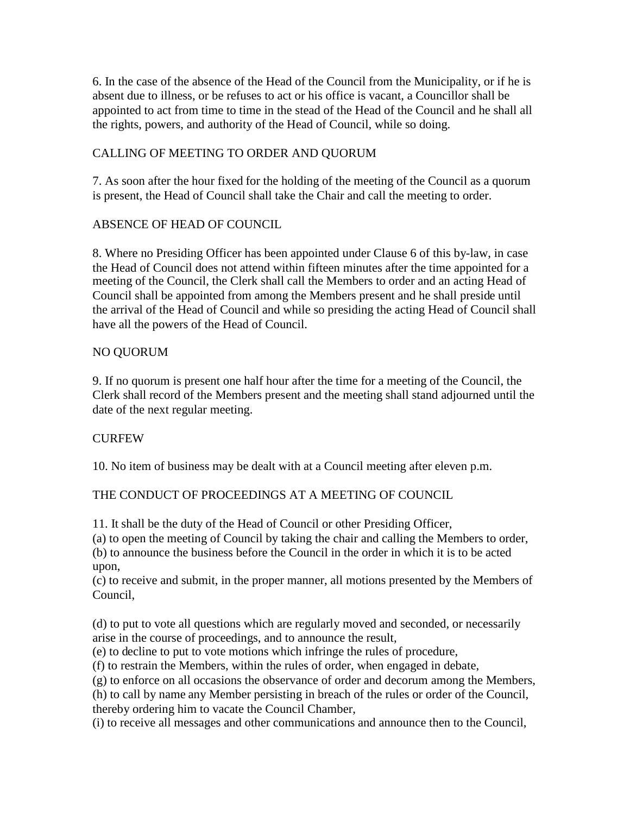6. In the case of the absence of the Head of the Council from the Municipality, or if he is absent due to illness, or be refuses to act or his office is vacant, a Councillor shall be appointed to act from time to time in the stead of the Head of the Council and he shall all the rights, powers, and authority of the Head of Council, while so doing.

# CALLING OF MEETING TO ORDER AND QUORUM

7. As soon after the hour fixed for the holding of the meeting of the Council as a quorum is present, the Head of Council shall take the Chair and call the meeting to order.

# ABSENCE OF HEAD OF COUNCIL

8. Where no Presiding Officer has been appointed under Clause 6 of this by-law, in case the Head of Council does not attend within fifteen minutes after the time appointed for a meeting of the Council, the Clerk shall call the Members to order and an acting Head of Council shall be appointed from among the Members present and he shall preside until the arrival of the Head of Council and while so presiding the acting Head of Council shall have all the powers of the Head of Council.

## NO QUORUM

9. If no quorum is present one half hour after the time for a meeting of the Council, the Clerk shall record of the Members present and the meeting shall stand adjourned until the date of the next regular meeting.

# **CURFEW**

10. No item of business may be dealt with at a Council meeting after eleven p.m.

# THE CONDUCT OF PROCEEDINGS AT A MEETING OF COUNCIL

11. It shall be the duty of the Head of Council or other Presiding Officer,

(a) to open the meeting of Council by taking the chair and calling the Members to order, (b) to announce the business before the Council in the order in which it is to be acted upon,

(c) to receive and submit, in the proper manner, all motions presented by the Members of Council,

(d) to put to vote all questions which are regularly moved and seconded, or necessarily arise in the course of proceedings, and to announce the result,

(e) to decline to put to vote motions which infringe the rules of procedure,

(f) to restrain the Members, within the rules of order, when engaged in debate,

(g) to enforce on all occasions the observance of order and decorum among the Members,

(h) to call by name any Member persisting in breach of the rules or order of the Council, thereby ordering him to vacate the Council Chamber,

(i) to receive all messages and other communications and announce then to the Council,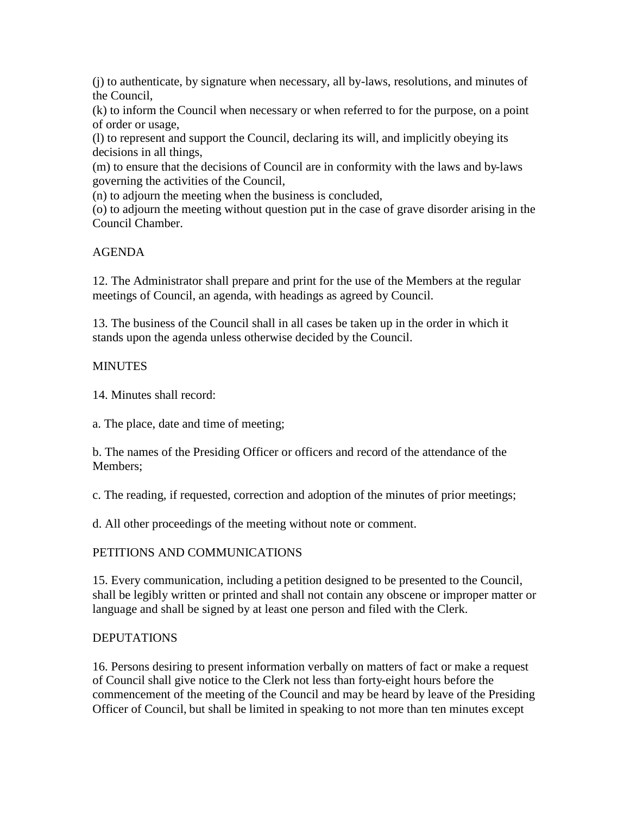(j) to authenticate, by signature when necessary, all by-laws, resolutions, and minutes of the Council,

(k) to inform the Council when necessary or when referred to for the purpose, on a point of order or usage,

(l) to represent and support the Council, declaring its will, and implicitly obeying its decisions in all things,

(m) to ensure that the decisions of Council are in conformity with the laws and by-laws governing the activities of the Council,

(n) to adjourn the meeting when the business is concluded,

(o) to adjourn the meeting without question put in the case of grave disorder arising in the Council Chamber.

## AGENDA

12. The Administrator shall prepare and print for the use of the Members at the regular meetings of Council, an agenda, with headings as agreed by Council.

13. The business of the Council shall in all cases be taken up in the order in which it stands upon the agenda unless otherwise decided by the Council.

#### **MINUTES**

14. Minutes shall record:

a. The place, date and time of meeting;

b. The names of the Presiding Officer or officers and record of the attendance of the Members;

c. The reading, if requested, correction and adoption of the minutes of prior meetings;

d. All other proceedings of the meeting without note or comment.

## PETITIONS AND COMMUNICATIONS

15. Every communication, including a petition designed to be presented to the Council, shall be legibly written or printed and shall not contain any obscene or improper matter or language and shall be signed by at least one person and filed with the Clerk.

## DEPUTATIONS

16. Persons desiring to present information verbally on matters of fact or make a request of Council shall give notice to the Clerk not less than forty-eight hours before the commencement of the meeting of the Council and may be heard by leave of the Presiding Officer of Council, but shall be limited in speaking to not more than ten minutes except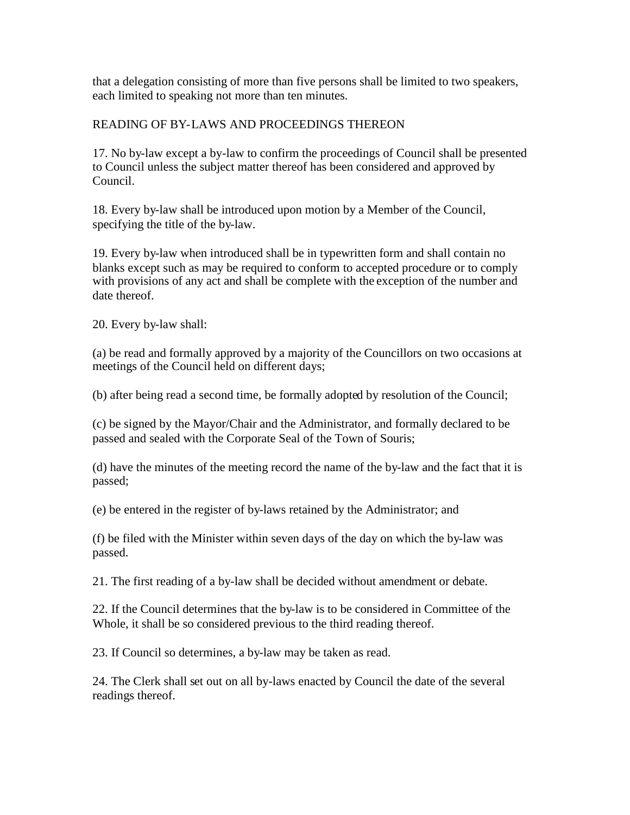that a delegation consisting of more than five persons shall be limited to two speakers, each limited to speaking not more than ten minutes.

#### READING OF BY-LAWS AND PROCEEDINGS THEREON

17. No by-law except a by-law to confirm the proceedings of Council shall be presented to Council unless the subject matter thereof has been considered and approved by Council.

18. Every by-law shall be introduced upon motion by a Member of the Council, specifying the title of the by-law.

19. Every by-law when introduced shall be in typewritten form and shall contain no blanks except such as may be required to conform to accepted procedure or to comply with provisions of any act and shall be complete with the exception of the number and date thereof.

20. Every by-law shall:

(a) be read and formally approved by a majority of the Councillors on two occasions at meetings of the Council held on different days;

(b) after being read a second time, be formally adopted by resolution of the Council;

(c) be signed by the Mayor/Chair and the Administrator, and formally declared to be passed and sealed with the Corporate Seal of the Town of Souris;

(d) have the minutes of the meeting record the name of the by-law and the fact that it is passed;

(e) be entered in the register of by-laws retained by the Administrator; and

(f) be filed with the Minister within seven days of the day on which the by-law was passed.

21. The first reading of a by-law shall be decided without amendment or debate.

22. If the Council determines that the by-law is to be considered in Committee of the Whole, it shall be so considered previous to the third reading thereof.

23. If Council so determines, a by-law may be taken as read.

24. The Clerk shall set out on all by-laws enacted by Council the date of the several readings thereof.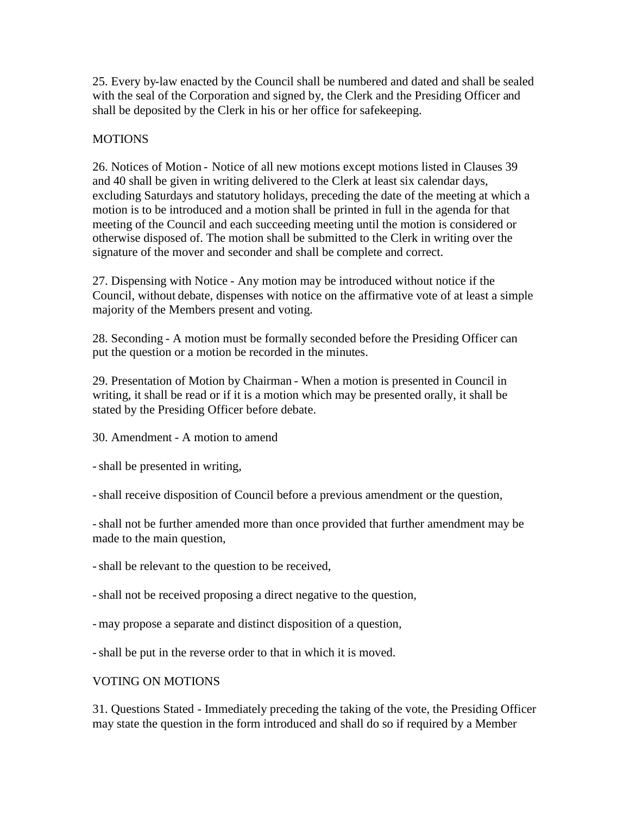25. Every by-law enacted by the Council shall be numbered and dated and shall be sealed with the seal of the Corporation and signed by, the Clerk and the Presiding Officer and shall be deposited by the Clerk in his or her office for safekeeping.

## **MOTIONS**

26. Notices of Motion - Notice of all new motions except motions listed in Clauses 39 and 40 shall be given in writing delivered to the Clerk at least six calendar days, excluding Saturdays and statutory holidays, preceding the date of the meeting at which a motion is to be introduced and a motion shall be printed in full in the agenda for that meeting of the Council and each succeeding meeting until the motion is considered or otherwise disposed of. The motion shall be submitted to the Clerk in writing over the signature of the mover and seconder and shall be complete and correct.

27. Dispensing with Notice - Any motion may be introduced without notice if the Council, without debate, dispenses with notice on the affirmative vote of at least a simple majority of the Members present and voting.

28. Seconding - A motion must be formally seconded before the Presiding Officer can put the question or a motion be recorded in the minutes.

29. Presentation of Motion by Chairman - When a motion is presented in Council in writing, it shall be read or if it is a motion which may be presented orally, it shall be stated by the Presiding Officer before debate.

30. Amendment - A motion to amend

-shall be presented in writing,

-shall receive disposition of Council before a previous amendment or the question,

-shall not be further amended more than once provided that further amendment may be made to the main question,

-shall be relevant to the question to be received,

-shall not be received proposing a direct negative to the question,

- may propose a separate and distinct disposition of a question,

-shall be put in the reverse order to that in which it is moved.

#### VOTING ON MOTIONS

31. Questions Stated - Immediately preceding the taking of the vote, the Presiding Officer may state the question in the form introduced and shall do so if required by a Member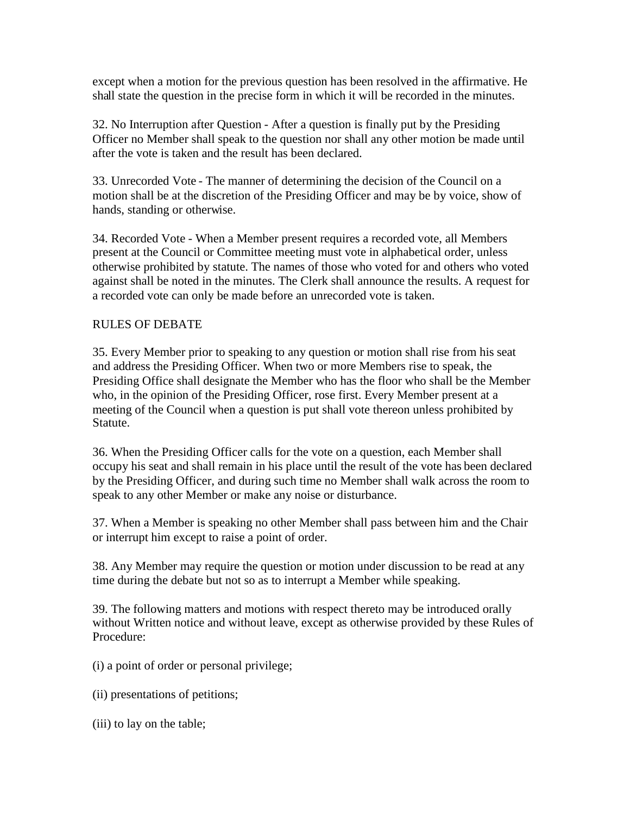except when a motion for the previous question has been resolved in the affirmative. He shall state the question in the precise form in which it will be recorded in the minutes.

32. No Interruption after Question - After a question is finally put by the Presiding Officer no Member shall speak to the question nor shall any other motion be made until after the vote is taken and the result has been declared.

33. Unrecorded Vote - The manner of determining the decision of the Council on a motion shall be at the discretion of the Presiding Officer and may be by voice, show of hands, standing or otherwise.

34. Recorded Vote - When a Member present requires a recorded vote, all Members present at the Council or Committee meeting must vote in alphabetical order, unless otherwise prohibited by statute. The names of those who voted for and others who voted against shall be noted in the minutes. The Clerk shall announce the results. A request for a recorded vote can only be made before an unrecorded vote is taken.

#### RULES OF DEBATE

35. Every Member prior to speaking to any question or motion shall rise from his seat and address the Presiding Officer. When two or more Members rise to speak, the Presiding Office shall designate the Member who has the floor who shall be the Member who, in the opinion of the Presiding Officer, rose first. Every Member present at a meeting of the Council when a question is put shall vote thereon unless prohibited by Statute.

36. When the Presiding Officer calls for the vote on a question, each Member shall occupy his seat and shall remain in his place until the result of the vote has been declared by the Presiding Officer, and during such time no Member shall walk across the room to speak to any other Member or make any noise or disturbance.

37. When a Member is speaking no other Member shall pass between him and the Chair or interrupt him except to raise a point of order.

38. Any Member may require the question or motion under discussion to be read at any time during the debate but not so as to interrupt a Member while speaking.

39. The following matters and motions with respect thereto may be introduced orally without Written notice and without leave, except as otherwise provided by these Rules of Procedure:

- (i) a point of order or personal privilege;
- (ii) presentations of petitions;
- (iii) to lay on the table;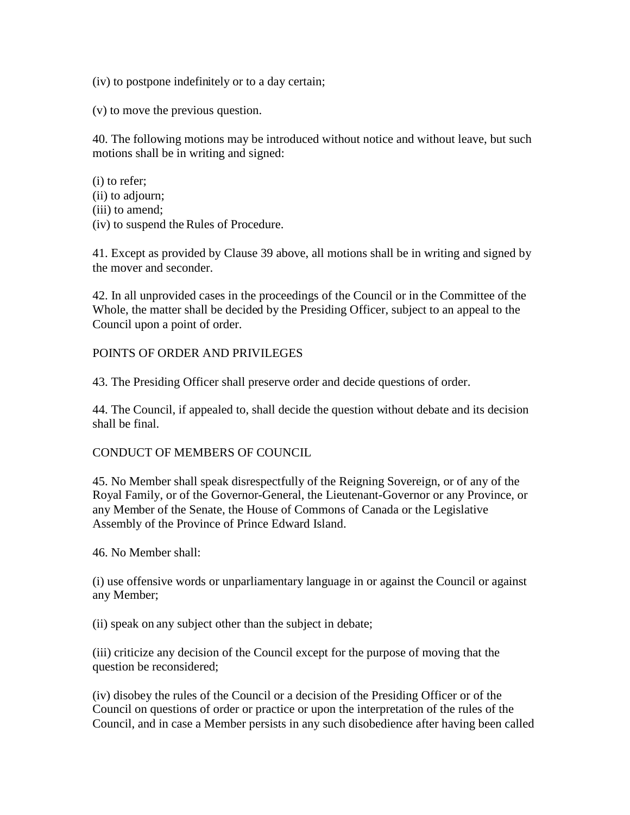(iv) to postpone indefinitely or to a day certain;

(v) to move the previous question.

40. The following motions may be introduced without notice and without leave, but such motions shall be in writing and signed:

(i) to refer; (ii) to adjourn; (iii) to amend; (iv) to suspend the Rules of Procedure.

41. Except as provided by Clause 39 above, all motions shall be in writing and signed by the mover and seconder.

42. In all unprovided cases in the proceedings of the Council or in the Committee of the Whole, the matter shall be decided by the Presiding Officer, subject to an appeal to the Council upon a point of order.

#### POINTS OF ORDER AND PRIVILEGES

43. The Presiding Officer shall preserve order and decide questions of order.

44. The Council, if appealed to, shall decide the question without debate and its decision shall be final.

#### CONDUCT OF MEMBERS OF COUNCIL

45. No Member shall speak disrespectfully of the Reigning Sovereign, or of any of the Royal Family, or of the Governor-General, the Lieutenant-Governor or any Province, or any Member of the Senate, the House of Commons of Canada or the Legislative Assembly of the Province of Prince Edward Island.

46. No Member shall:

(i) use offensive words or unparliamentary language in or against the Council or against any Member;

(ii) speak on any subject other than the subject in debate;

(iii) criticize any decision of the Council except for the purpose of moving that the question be reconsidered;

(iv) disobey the rules of the Council or a decision of the Presiding Officer or of the Council on questions of order or practice or upon the interpretation of the rules of the Council, and in case a Member persists in any such disobedience after having been called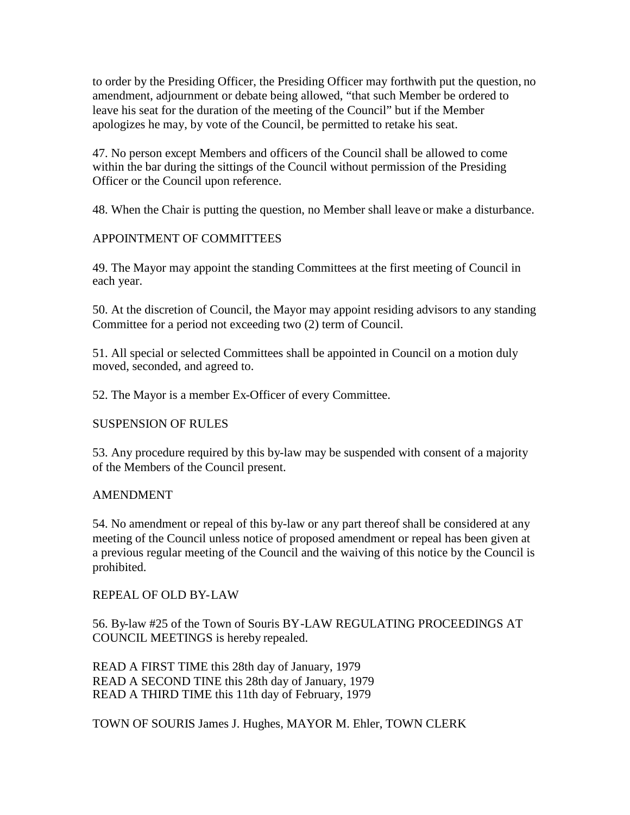to order by the Presiding Officer, the Presiding Officer may forthwith put the question, no amendment, adjournment or debate being allowed, "that such Member be ordered to leave his seat for the duration of the meeting of the Council" but if the Member apologizes he may, by vote of the Council, be permitted to retake his seat.

47. No person except Members and officers of the Council shall be allowed to come within the bar during the sittings of the Council without permission of the Presiding Officer or the Council upon reference.

48. When the Chair is putting the question, no Member shall leave or make a disturbance.

## APPOINTMENT OF COMMITTEES

49. The Mayor may appoint the standing Committees at the first meeting of Council in each year.

50. At the discretion of Council, the Mayor may appoint residing advisors to any standing Committee for a period not exceeding two (2) term of Council.

51. All special or selected Committees shall be appointed in Council on a motion duly moved, seconded, and agreed to.

52. The Mayor is a member Ex-Officer of every Committee.

## SUSPENSION OF RULES

53. Any procedure required by this by-law may be suspended with consent of a majority of the Members of the Council present.

#### AMENDMENT

54. No amendment or repeal of this by-law or any part thereof shall be considered at any meeting of the Council unless notice of proposed amendment or repeal has been given at a previous regular meeting of the Council and the waiving of this notice by the Council is prohibited.

#### REPEAL OF OLD BY-LAW

56. By-law #25 of the Town of Souris BY-LAW REGULATING PROCEEDINGS AT COUNCIL MEETINGS is hereby repealed.

READ A FIRST TIME this 28th day of January, 1979 READ A SECOND TINE this 28th day of January, 1979 READ A THIRD TIME this 11th day of February, 1979

TOWN OF SOURIS James J. Hughes, MAYOR M. Ehler, TOWN CLERK